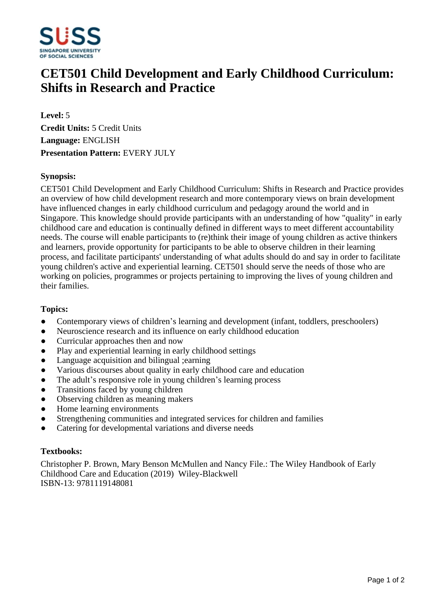

# **CET501 Child Development and Early Childhood Curriculum: Shifts in Research and Practice**

**Level:** 5 **Credit Units:** 5 Credit Units **Language:** ENGLISH **Presentation Pattern:** EVERY JULY

## **Synopsis:**

CET501 Child Development and Early Childhood Curriculum: Shifts in Research and Practice provides an overview of how child development research and more contemporary views on brain development have influenced changes in early childhood curriculum and pedagogy around the world and in Singapore. This knowledge should provide participants with an understanding of how "quality" in early childhood care and education is continually defined in different ways to meet different accountability needs. The course will enable participants to (re)think their image of young children as active thinkers and learners, provide opportunity for participants to be able to observe children in their learning process, and facilitate participants' understanding of what adults should do and say in order to facilitate young children's active and experiential learning. CET501 should serve the needs of those who are working on policies, programmes or projects pertaining to improving the lives of young children and their families.

#### **Topics:**

- Contemporary views of children's learning and development (infant, toddlers, preschoolers)
- Neuroscience research and its influence on early childhood education
- Curricular approaches then and now
- Play and experiential learning in early childhood settings
- ƔLanguage acquisition and bilingual ;earning
- ƔVarious discourses about quality in early childhood care and education
- $\bullet$  The adult's responsive role in young children's learning process
- Transitions faced by young children
- Observing children as meaning makers
- Home learning environments
- Strengthening communities and integrated services for children and families
- Catering for developmental variations and diverse needs

#### **Textbooks:**

Christopher P. Brown, Mary Benson McMullen and Nancy File.: The Wiley Handbook of Early Childhood Care and Education (2019) Wiley-Blackwell ISBN-13: 9781119148081